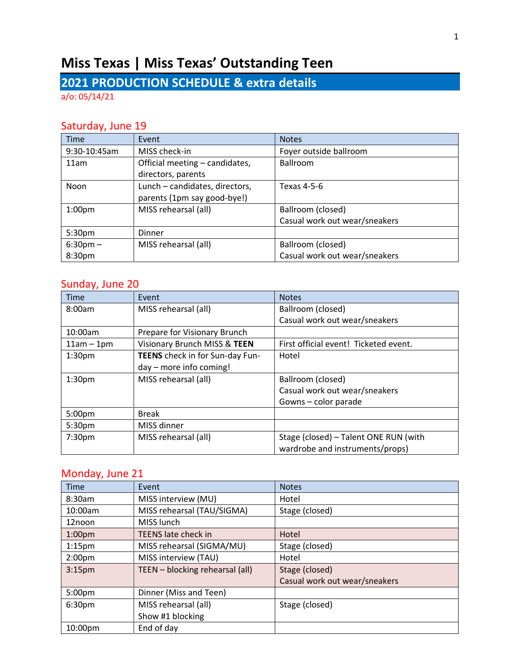# **Miss Texas | Miss Texas' Outstanding Teen**

## **2021 PRODUCTION SCHEDULE & extra details**

a/o: 05/14/21

#### Saturday, June 19

| <b>Time</b>        | Event                          | <b>Notes</b>                  |
|--------------------|--------------------------------|-------------------------------|
| 9:30-10:45am       | MISS check-in                  | Foyer outside ballroom        |
| 11am               | Official meeting - candidates, | Ballroom                      |
|                    | directors, parents             |                               |
| Noon               | Lunch - candidates, directors, | Texas 4-5-6                   |
|                    | parents (1pm say good-bye!)    |                               |
| 1:00 <sub>pm</sub> | MISS rehearsal (all)           | Ballroom (closed)             |
|                    |                                | Casual work out wear/sneakers |
| 5:30pm             | Dinner                         |                               |
| $6:30$ pm $-$      | MISS rehearsal (all)           | Ballroom (closed)             |
| 8:30pm             |                                | Casual work out wear/sneakers |

#### Sunday, June 20

| <b>Time</b>        | Event                           | <b>Notes</b>                          |
|--------------------|---------------------------------|---------------------------------------|
| 8:00am             | MISS rehearsal (all)            | Ballroom (closed)                     |
|                    |                                 | Casual work out wear/sneakers         |
| 10:00am            | Prepare for Visionary Brunch    |                                       |
| $11am - 1pm$       | Visionary Brunch MISS & TEEN    | First official event! Ticketed event. |
| 1:30 <sub>pm</sub> | TEENS check in for Sun-day Fun- | Hotel                                 |
|                    | $day$ – more info coming!       |                                       |
| 1:30 <sub>pm</sub> | MISS rehearsal (all)            | Ballroom (closed)                     |
|                    |                                 | Casual work out wear/sneakers         |
|                    |                                 | Gowns - color parade                  |
| 5:00pm             | <b>Break</b>                    |                                       |
| 5:30pm             | MISS dinner                     |                                       |
| 7:30pm             | MISS rehearsal (all)            | Stage (closed) - Talent ONE RUN (with |
|                    |                                 | wardrobe and instruments/props)       |

#### Monday, June 21

| <b>Time</b>        | Event                           | <b>Notes</b>                  |
|--------------------|---------------------------------|-------------------------------|
| 8:30am             | MISS interview (MU)             | Hotel                         |
| 10:00am            | MISS rehearsal (TAU/SIGMA)      | Stage (closed)                |
| 12noon             | MISS lunch                      |                               |
| 1:00 <sub>pm</sub> | <b>TEENS late check in</b>      | Hotel                         |
| $1:15$ pm          | MISS rehearsal (SIGMA/MU)       | Stage (closed)                |
| 2:00 <sub>pm</sub> | MISS interview (TAU)            | Hotel                         |
| 3:15 <sub>pm</sub> | TEEN - blocking rehearsal (all) | Stage (closed)                |
|                    |                                 | Casual work out wear/sneakers |
| 5:00pm             | Dinner (Miss and Teen)          |                               |
| 6:30 <sub>pm</sub> | MISS rehearsal (all)            | Stage (closed)                |
|                    | Show #1 blocking                |                               |
| 10:00pm            | End of day                      |                               |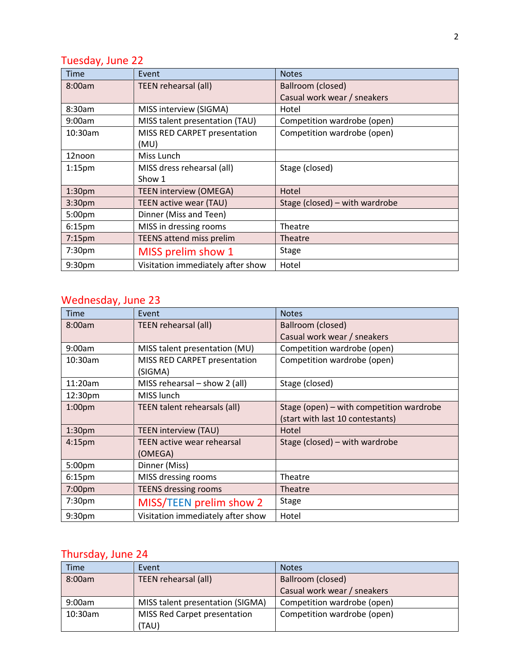### Tuesday, June 22

| <b>Time</b>        | Event                             | <b>Notes</b>                   |
|--------------------|-----------------------------------|--------------------------------|
| 8:00am             | TEEN rehearsal (all)              | Ballroom (closed)              |
|                    |                                   | Casual work wear / sneakers    |
| 8:30am             | MISS interview (SIGMA)            | Hotel                          |
| 9:00am             | MISS talent presentation (TAU)    | Competition wardrobe (open)    |
| $10:30$ am         | MISS RED CARPET presentation      | Competition wardrobe (open)    |
|                    | (MU)                              |                                |
| 12noon             | Miss Lunch                        |                                |
| $1:15$ pm          | MISS dress rehearsal (all)        | Stage (closed)                 |
|                    | Show 1                            |                                |
| 1:30 <sub>pm</sub> | TEEN interview (OMEGA)            | Hotel                          |
| 3:30pm             | TEEN active wear (TAU)            | Stage (closed) - with wardrobe |
| 5:00 <sub>pm</sub> | Dinner (Miss and Teen)            |                                |
| 6:15 <sub>pm</sub> | MISS in dressing rooms            | Theatre                        |
| $7:15$ pm          | <b>TEENS attend miss prelim</b>   | Theatre                        |
| 7:30pm             | MISS prelim show 1                | <b>Stage</b>                   |
| 9:30 <sub>pm</sub> | Visitation immediately after show | Hotel                          |

### Wednesday, June 23

| Time                | Event                             | <b>Notes</b>                             |
|---------------------|-----------------------------------|------------------------------------------|
| 8:00am              | TEEN rehearsal (all)              | Ballroom (closed)                        |
|                     |                                   | Casual work wear / sneakers              |
| 9:00am              | MISS talent presentation (MU)     | Competition wardrobe (open)              |
| 10:30am             | MISS RED CARPET presentation      | Competition wardrobe (open)              |
|                     | (SIGMA)                           |                                          |
| 11:20am             | MISS rehearsal - show 2 (all)     | Stage (closed)                           |
| 12:30 <sub>pm</sub> | MISS lunch                        |                                          |
| 1:00 <sub>pm</sub>  | TEEN talent rehearsals (all)      | Stage (open) – with competition wardrobe |
|                     |                                   | (start with last 10 contestants)         |
| 1:30 <sub>pm</sub>  | <b>TEEN interview (TAU)</b>       | Hotel                                    |
| 4:15 <sub>pm</sub>  | <b>TEEN active wear rehearsal</b> | Stage (closed) – with wardrobe           |
|                     | (OMEGA)                           |                                          |
| 5:00 <sub>pm</sub>  | Dinner (Miss)                     |                                          |
| 6:15 <sub>pm</sub>  | MISS dressing rooms               | Theatre                                  |
| 7:00 <sub>pm</sub>  | <b>TEENS dressing rooms</b>       | Theatre                                  |
| 7:30 <sub>pm</sub>  | MISS/TEEN prelim show 2           | Stage                                    |
| 9:30 <sub>pm</sub>  | Visitation immediately after show | Hotel                                    |

### Thursday, June 24

| Time    | Event                            | <b>Notes</b>                |
|---------|----------------------------------|-----------------------------|
| 8:00am  | TEEN rehearsal (all)             | Ballroom (closed)           |
|         |                                  | Casual work wear / sneakers |
| 9:00am  | MISS talent presentation (SIGMA) | Competition wardrobe (open) |
| 10:30am | MISS Red Carpet presentation     | Competition wardrobe (open) |
|         | (TAU)                            |                             |